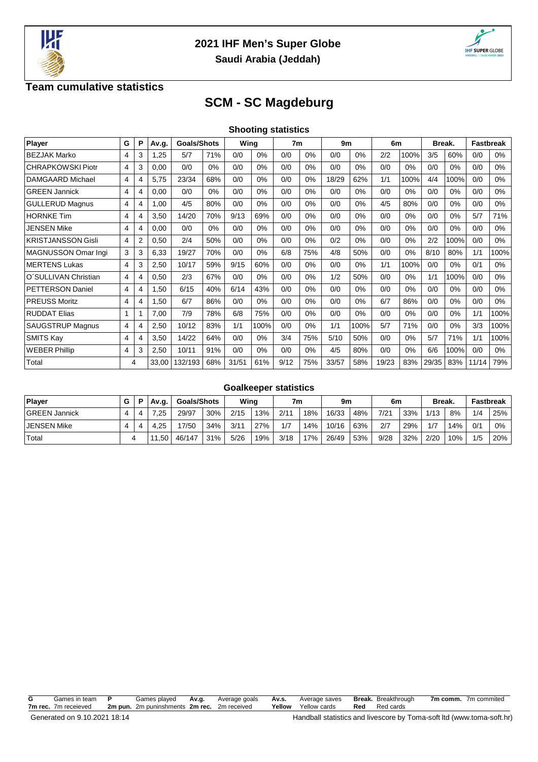



### **Team cumulative statistics**

# **SCM - SC Magdeburg**

| Player                    | G              | Р | Av.g. | <b>Goals/Shots</b> |     |       | Wing  |      | 7 <sub>m</sub> |       | 9m   |       | 6m    |       | Break. |       | <b>Fastbreak</b> |  |
|---------------------------|----------------|---|-------|--------------------|-----|-------|-------|------|----------------|-------|------|-------|-------|-------|--------|-------|------------------|--|
| <b>BEZJAK Marko</b>       | $\overline{4}$ | 3 | .25   | 5/7                | 71% | 0/0   | $0\%$ | 0/0  | 0%             | 0/0   | 0%   | 2/2   | 100%  | 3/5   | 60%    | 0/0   | 0%               |  |
| <b>CHRAPKOWSKI Piotr</b>  | 4              | 3 | 0,00  | 0/0                | 0%  | 0/0   | $0\%$ | 0/0  | 0%             | 0/0   | 0%   | 0/0   | 0%    | 0/0   | 0%     | 0/0   | $0\%$            |  |
| <b>DAMGAARD Michael</b>   | 4              | 4 | 5,75  | 23/34              | 68% | 0/0   | $0\%$ | 0/0  | 0%             | 18/29 | 62%  | 1/1   | 100%  | 4/4   | 100%   | 0/0   | $0\%$            |  |
| <b>GREEN Jannick</b>      | 4              | 4 | 0,00  | 0/0                | 0%  | 0/0   | $0\%$ | 0/0  | 0%             | 0/0   | 0%   | 0/0   | $0\%$ | 0/0   | 0%     | 0/0   | $0\%$            |  |
| <b>GULLERUD Magnus</b>    | $\overline{4}$ | 4 | 1,00  | 4/5                | 80% | 0/0   | $0\%$ | 0/0  | 0%             | 0/0   | 0%   | 4/5   | 80%   | 0/0   | 0%     | 0/0   | $0\%$            |  |
| <b>HORNKE Tim</b>         | $\overline{4}$ | 4 | 3,50  | 14/20              | 70% | 9/13  | 69%   | 0/0  | 0%             | 0/0   | 0%   | 0/0   | 0%    | 0/0   | 0%     | 5/7   | 71%              |  |
| <b>JENSEN Mike</b>        | $\overline{4}$ | 4 | 0,00  | 0/0                | 0%  | 0/0   | $0\%$ | 0/0  | 0%             | 0/0   | 0%   | 0/0   | 0%    | 0/0   | 0%     | 0/0   | $0\%$            |  |
| <b>KRISTJANSSON Gisli</b> | 4              | 2 | 0,50  | 2/4                | 50% | 0/0   | 0%    | 0/0  | $0\%$          | 0/2   | 0%   | 0/0   | $0\%$ | 2/2   | 100%   | 0/0   | $0\%$            |  |
| MAGNUSSON Omar Ingi       | 3              | 3 | 6,33  | 19/27              | 70% | 0/0   | 0%    | 6/8  | 75%            | 4/8   | 50%  | 0/0   | 0%    | 8/10  | 80%    | 1/1   | 100%             |  |
| <b>MERTENS Lukas</b>      | $\overline{4}$ | 3 | 2,50  | 10/17              | 59% | 9/15  | 60%   | 0/0  | 0%             | 0/0   | 0%   | 1/1   | 100%  | 0/0   | 0%     | 0/1   | $0\%$            |  |
| O'SULLIVAN Christian      | 4              | 4 | 0,50  | 2/3                | 67% | 0/0   | $0\%$ | 0/0  | 0%             | 1/2   | 50%  | 0/0   | 0%    | 1/1   | 100%   | 0/0   | $0\%$            |  |
| <b>PETTERSON Daniel</b>   | $\overline{4}$ | 4 | 1,50  | 6/15               | 40% | 6/14  | 43%   | 0/0  | 0%             | 0/0   | 0%   | 0/0   | 0%    | 0/0   | 0%     | 0/0   | $0\%$            |  |
| <b>PREUSS Moritz</b>      | 4              | 4 | 1,50  | 6/7                | 86% | 0/0   | $0\%$ | 0/0  | 0%             | 0/0   | 0%   | 6/7   | 86%   | 0/0   | 0%     | 0/0   | $0\%$            |  |
| <b>RUDDAT Elias</b>       |                |   | 7,00  | 7/9                | 78% | 6/8   | 75%   | 0/0  | 0%             | 0/0   | 0%   | 0/0   | 0%    | 0/0   | 0%     | 1/1   | 100%             |  |
| SAUGSTRUP Magnus          | 4              | 4 | 2,50  | 10/12              | 83% | 1/1   | 100%  | 0/0  | 0%             | 1/1   | 100% | 5/7   | 71%   | 0/0   | 0%     | 3/3   | 100%             |  |
| <b>SMITS Kay</b>          | $\overline{4}$ | 4 | 3,50  | 14/22              | 64% | 0/0   | $0\%$ | 3/4  | 75%            | 5/10  | 50%  | 0/0   | 0%    | 5/7   | 71%    | 1/1   | 100%             |  |
| <b>WEBER Phillip</b>      | 4              | 3 | 2,50  | 10/11              | 91% | 0/0   | 0%    | 0/0  | 0%             | 4/5   | 80%  | 0/0   | 0%    | 6/6   | 100%   | 0/0   | $0\%$            |  |
| Total                     | 4              |   | 33,00 | 132/193            | 68% | 31/51 | 61%   | 9/12 | 75%            | 33/57 | 58%  | 19/23 | 83%   | 29/35 | 83%    | 11/14 | 79%              |  |

#### **Goalkeeper statistics**

| Plaver               | G | Av.g. I | <b>Goals/Shots</b> |     | Wing |     | 7m   |     | 9m    |     | 6m   |     | <b>Break.</b> |     | <b>Fastbreak</b> |     |
|----------------------|---|---------|--------------------|-----|------|-----|------|-----|-------|-----|------|-----|---------------|-----|------------------|-----|
| <b>GREEN Jannick</b> |   | .25     | 29/97              | 30% | 2/15 | 13% | 2/11 | 18% | 16/33 | 48% | 7/21 | 33% | 1/13          | 8%  | 1/4              | 25% |
| <b>JENSEN Mike</b>   |   | .25     | 17/50              | 34% | 3/11 | 27% | 1/7  | 14% | 10/16 | 63% | 2/7  | 29% | 1/7           | 4%  | 0/1              | 0%  |
| Total                |   | 11,50   | 46/147             | 31% | 5/26 | 19% | 3/18 | 17% | 26/49 | 53% | 9/28 | 32% | 2/20          | 10% | 1/5              | 20% |

| G | Games in team P      | Games played Av.g.                          | Average goals | <b>Av.s.</b> Average saves | <b>Break.</b> Breakthrough | 7m comm. 7m commited |
|---|----------------------|---------------------------------------------|---------------|----------------------------|----------------------------|----------------------|
|   | 7m rec. 7m receieved | 2m pun. 2m puninshments 2m rec. 2m received |               | <b>Yellow</b> Yellow cards | <b>Red</b> Red cards       |                      |
|   |                      |                                             |               |                            |                            |                      |